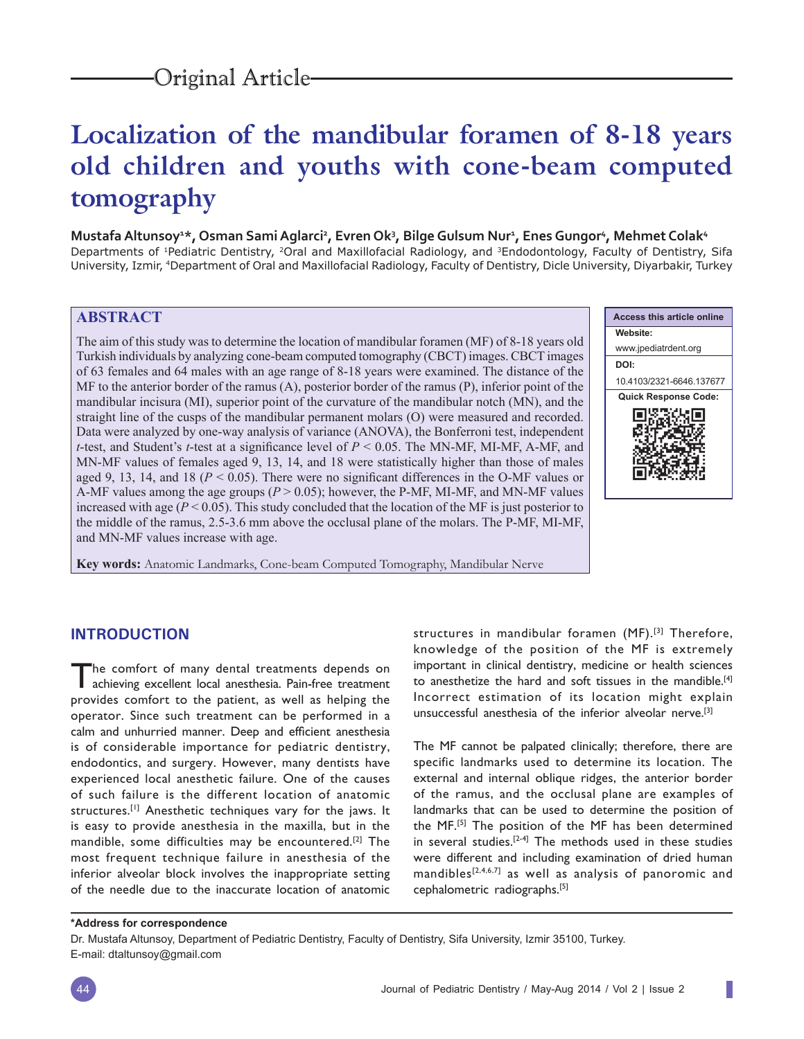# **Localization of the mandibular foramen of 8-18 years old children and youths with cone-beam computed tomography**

## **Mustafa Altunsoy1 \*, Osman Sami Aglarci2 , Evren Ok3 , Bilge Gulsum Nur1 , Enes Gungor4 , Mehmet Colak4**

Departments of <sup>1</sup>Pediatric Dentistry, <sup>2</sup>Oral and Maxillofacial Radiology, and <sup>3</sup>Endodontology, Faculty of Dentistry, Sifa University, Izmir, 4Department of Oral and Maxillofacial Radiology, Faculty of Dentistry, Dicle University, Diyarbakir, Turkey

## **ABSTRACT**

The aim of this study was to determine the location of mandibular foramen (MF) of 8-18 years old Turkish individuals by analyzing cone-beam computed tomography (CBCT) images. CBCT images of 63 females and 64 males with an age range of 8-18 years were examined. The distance of the MF to the anterior border of the ramus (A), posterior border of the ramus (P), inferior point of the mandibular incisura (MI), superior point of the curvature of the mandibular notch (MN), and the straight line of the cusps of the mandibular permanent molars (O) were measured and recorded. Data were analyzed by one-way analysis of variance (ANOVA), the Bonferroni test, independent *t*-test, and Student's *t*-test at a significance level of  $P \le 0.05$ . The MN-MF, MI-MF, A-MF, and MN-MF values of females aged 9, 13, 14, and 18 were statistically higher than those of males aged 9, 13, 14, and 18 ( $P < 0.05$ ). There were no significant differences in the O-MF values or A-MF values among the age groups (*P* > 0.05); however, the P-MF, MI-MF, and MN-MF values increased with age ( $P < 0.05$ ). This study concluded that the location of the MF is just posterior to the middle of the ramus, 2.5-3.6 mm above the occlusal plane of the molars. The P-MF, MI-MF, and MN-MF values increase with age.

**Key words:** Anatomic Landmarks, Cone-beam Computed Tomography, Mandibular Nerve



ı

## **INTRODUCTION**

The comfort of many dental treatments depends on achieving excellent local anesthesia. Pain-free treatment provides comfort to the patient, as well as helping the operator. Since such treatment can be performed in a calm and unhurried manner. Deep and efficient anesthesia is of considerable importance for pediatric dentistry, endodontics, and surgery. However, many dentists have experienced local anesthetic failure. One of the causes of such failure is the different location of anatomic structures.<sup>[1]</sup> Anesthetic techniques vary for the jaws. It is easy to provide anesthesia in the maxilla, but in the mandible, some difficulties may be encountered.[2] The most frequent technique failure in anesthesia of the inferior alveolar block involves the inappropriate setting of the needle due to the inaccurate location of anatomic

structures in mandibular foramen (MF).<sup>[3]</sup> Therefore, knowledge of the position of the MF is extremely important in clinical dentistry, medicine or health sciences to anesthetize the hard and soft tissues in the mandible.[4] Incorrect estimation of its location might explain unsuccessful anesthesia of the inferior alveolar nerve.[3]

The MF cannot be palpated clinically; therefore, there are specific landmarks used to determine its location. The external and internal oblique ridges, the anterior border of the ramus, and the occlusal plane are examples of landmarks that can be used to determine the position of the MF.[5] The position of the MF has been determined in several studies.<sup>[2-4]</sup> The methods used in these studies were different and including examination of dried human mandibles<sup>[2,4,6,7]</sup> as well as analysis of panoromic and cephalometric radiographs.[5]

#### **\*Address for correspondence**

Dr. Mustafa Altunsoy, Department of Pediatric Dentistry, Faculty of Dentistry, Sifa University, Izmir 35100, Turkey. E-mail: dtaltunsoy@gmail.com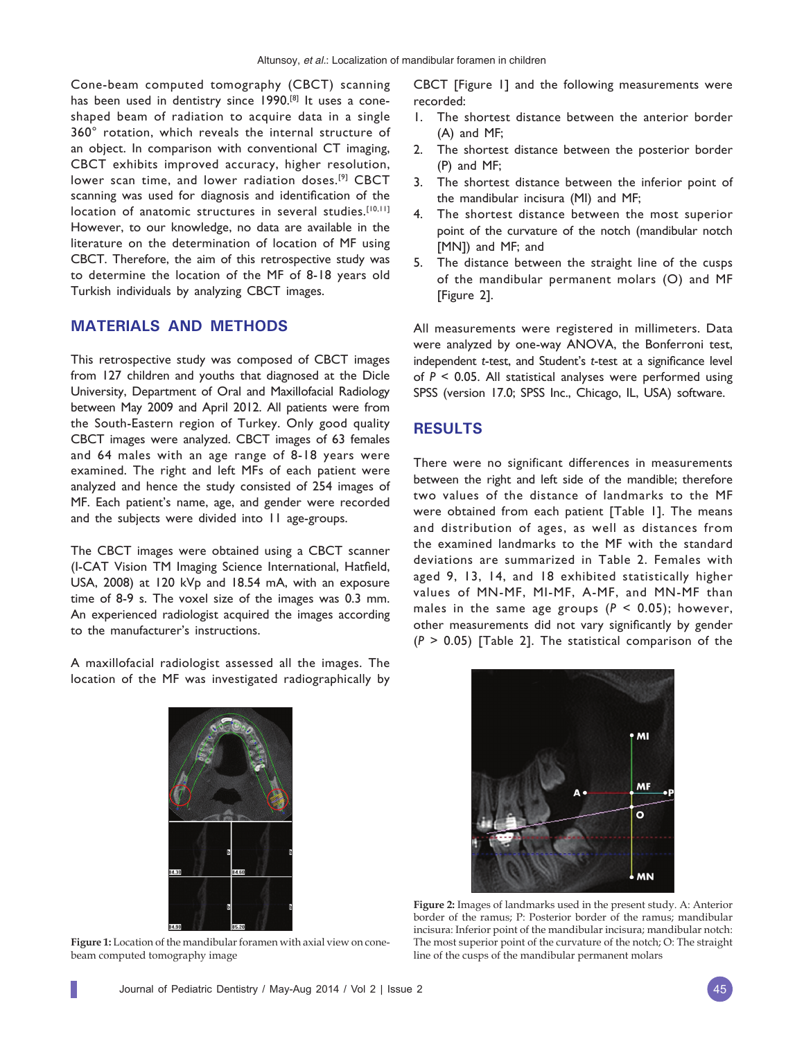Cone-beam computed tomography (CBCT) scanning has been used in dentistry since 1990.<sup>[8]</sup> It uses a coneshaped beam of radiation to acquire data in a single 360° rotation, which reveals the internal structure of an object. In comparison with conventional CT imaging, CBCT exhibits improved accuracy, higher resolution, lower scan time, and lower radiation doses.<sup>[9]</sup> CBCT scanning was used for diagnosis and identification of the location of anatomic structures in several studies.<sup>[10,11]</sup> However, to our knowledge, no data are available in the literature on the determination of location of MF using CBCT. Therefore, the aim of this retrospective study was to determine the location of the MF of 8-18 years old Turkish individuals by analyzing CBCT images.

## **MATERIALS AND METHODS**

This retrospective study was composed of CBCT images from 127 children and youths that diagnosed at the Dicle University, Department of Oral and Maxillofacial Radiology between May 2009 and April 2012. All patients were from the South-Eastern region of Turkey. Only good quality CBCT images were analyzed. CBCT images of 63 females and 64 males with an age range of 8-18 years were examined. The right and left MFs of each patient were analyzed and hence the study consisted of 254 images of MF. Each patient's name, age, and gender were recorded and the subjects were divided into 11 age-groups.

The CBCT images were obtained using a CBCT scanner (I-CAT Vision TM Imaging Science International, Hatfield, USA, 2008) at 120 kVp and 18.54 mA, with an exposure time of 8-9 s. The voxel size of the images was 0.3 mm. An experienced radiologist acquired the images according to the manufacturer's instructions.

A maxillofacial radiologist assessed all the images. The location of the MF was investigated radiographically by CBCT [Figure 1] and the following measurements were recorded:

- 1. The shortest distance between the anterior border (A) and MF;
- 2. The shortest distance between the posterior border (P) and MF;
- 3. The shortest distance between the inferior point of the mandibular incisura (MI) and MF;
- 4. The shortest distance between the most superior point of the curvature of the notch (mandibular notch [MN]) and MF; and
- 5. The distance between the straight line of the cusps of the mandibular permanent molars (O) and MF [Figure 2].

All measurements were registered in millimeters. Data were analyzed by one-way ANOVA, the Bonferroni test, independent *t*-test, and Student's *t*-test at a significance level of *P* < 0.05. All statistical analyses were performed using SPSS (version 17.0; SPSS Inc., Chicago, IL, USA) software.

#### **RESULTS**

There were no significant differences in measurements between the right and left side of the mandible; therefore two values of the distance of landmarks to the MF were obtained from each patient [Table 1]. The means and distribution of ages, as well as distances from the examined landmarks to the MF with the standard deviations are summarized in Table 2. Females with aged 9, 13, 14, and 18 exhibited statistically higher values of MN-MF, MI-MF, A-MF, and MN-MF than males in the same age groups  $(P < 0.05)$ ; however, other measurements did not vary significantly by gender (*P* > 0.05) [Table 2]. The statistical comparison of the



**Figure 1:** Location of the mandibular foramen with axial view on conebeam computed tomography image



**Figure 2:** Images of landmarks used in the present study. A: Anterior border of the ramus; P: Posterior border of the ramus; mandibular incisura: Inferior point of the mandibular incisura; mandibular notch: The most superior point of the curvature of the notch; O: The straight line of the cusps of the mandibular permanent molars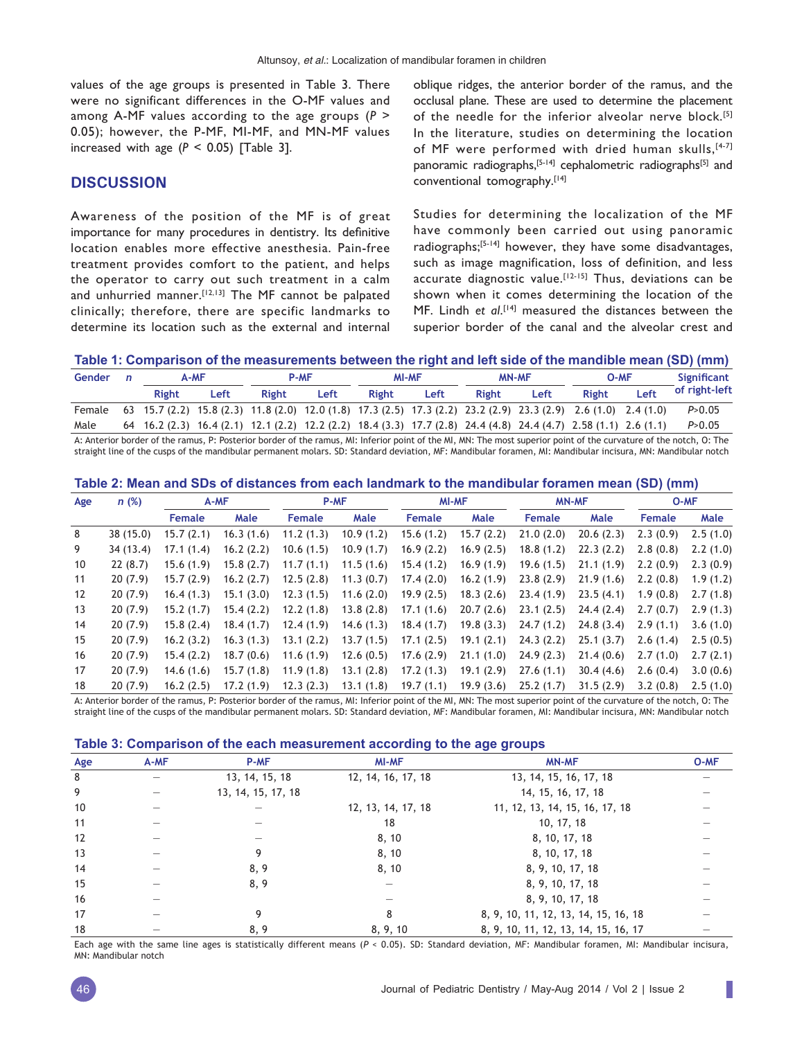values of the age groups is presented in Table 3. There were no significant differences in the O-MF values and among A-MF values according to the age groups (*P* > 0.05); however, the P-MF, MI-MF, and MN-MF values increased with age  $(P < 0.05)$  [Table 3].

## **DISCUSSION**

Awareness of the position of the MF is of great importance for many procedures in dentistry. Its definitive location enables more effective anesthesia. Pain-free treatment provides comfort to the patient, and helps the operator to carry out such treatment in a calm and unhurried manner.<sup>[12,13]</sup> The MF cannot be palpated clinically; therefore, there are specific landmarks to determine its location such as the external and internal oblique ridges, the anterior border of the ramus, and the occlusal plane. These are used to determine the placement of the needle for the inferior alveolar nerve block.<sup>[5]</sup> In the literature, studies on determining the location of MF were performed with dried human skulls, [4-7] panoramic radiographs,<sup>[5-14]</sup> cephalometric radiographs<sup>[5]</sup> and conventional tomography.[14]

Studies for determining the localization of the MF have commonly been carried out using panoramic radiographs;[5-14] however, they have some disadvantages, such as image magnification, loss of definition, and less accurate diagnostic value.<sup>[12-15]</sup> Thus, deviations can be shown when it comes determining the location of the MF. Lindh et al.<sup>[14]</sup> measured the distances between the superior border of the canal and the alveolar crest and

#### **Table 1: Comparison of the measurements between the right and left side of the mandible mean (SD) (mm)**

| Gender | A-MF         |      | <b>P-MF</b>                                                                                                                                                                                                                                               |      | <b>MI-MF</b> |      | <b>MN-MF</b> |      | O-MF  |      | Significant   |
|--------|--------------|------|-----------------------------------------------------------------------------------------------------------------------------------------------------------------------------------------------------------------------------------------------------------|------|--------------|------|--------------|------|-------|------|---------------|
|        | <b>Right</b> | Left | <b>Right</b>                                                                                                                                                                                                                                              | Left | <b>Right</b> | Left | Right        | Left | Right | Left | of right-left |
| Female |              |      | 63 15.7 (2.2) 15.8 (2.3) 11.8 (2.0) 12.0 (1.8) 17.3 (2.5) 17.3 (2.2) 23.2 (2.9) 23.3 (2.9) 2.6 (1.0) 2.4 (1.0)                                                                                                                                            |      |              |      |              |      |       |      | P > 0.05      |
| Male   |              |      | $64$ $16.2$ (2.3) $16.4$ (2.1) $12.1$ (2.2) $12.2$ (2.2) $18.4$ (3.3) $17.7$ (2.8) $24.4$ (4.8) $24.4$ (4.7) $2.58$ (1.1) $2.6$ (1.1)                                                                                                                     |      |              |      |              |      |       |      | P > 0.05      |
|        |              |      | $\mathcal{L} = \{ \mathcal{L} \mid \mathcal{L} \in \mathcal{L} \}$ . The contract the contract of $\mathcal{L} = \{ \mathcal{L} \mid \mathcal{L} \in \mathcal{L} \}$ . The contract of $\mathcal{L} = \{ \mathcal{L} \mid \mathcal{L} \in \mathcal{L} \}$ |      |              |      |              |      |       |      |               |

A: Anterior border of the ramus, P: Posterior border of the ramus, MI: Inferior point of the MI, MN: The most superior point of the curvature of the notch, O: The straight line of the cusps of the mandibular permanent molars. SD: Standard deviation, MF: Mandibular foramen, MI: Mandibular incisura, MN: Mandibular notch

| Table 2: Mean and SDs of distances from each landmark to the mandibular foramen mean (SD) (mm) |  |  |
|------------------------------------------------------------------------------------------------|--|--|
|------------------------------------------------------------------------------------------------|--|--|

| Age               | n(%)      | A-MF       |           | P-MF          |           | <b>MI-MF</b>  |           | <b>MN-MF</b> |           | O-MF          |          |
|-------------------|-----------|------------|-----------|---------------|-----------|---------------|-----------|--------------|-----------|---------------|----------|
|                   |           | Female     | Male      | <b>Female</b> | Male      | <b>Female</b> | Male      | Female       | Male      | <b>Female</b> | Male     |
| 8                 | 38(15.0)  | 15.7(2.1)  | 16.3(1.6) | 11.2(1.3)     | 10.9(1.2) | 15.6(1.2)     | 15.7(2.2) | 21.0(2.0)    | 20.6(2.3) | 2.3(0.9)      | 2.5(1.0) |
| 9                 | 34 (13.4) | 17.1(1.4)  | 16.2(2.2) | 10.6(1.5)     | 10.9(1.7) | 16.9(2.2)     | 16.9(2.5) | 18.8(1.2)    | 22.3(2.2) | 2.8(0.8)      | 2.2(1.0) |
| 10                | 22(8.7)   | 15.6(1.9)  | 15.8(2.7) | 11.7(1.1)     | 11.5(1.6) | 15.4(1.2)     | 16.9(1.9) | 19.6(1.5)    | 21.1(1.9) | 2.2(0.9)      | 2.3(0.9) |
| 11                | 20(7.9)   | 15.7(2.9)  | 16.2(2.7) | 12.5(2.8)     | 11.3(0.7) | 17.4(2.0)     | 16.2(1.9) | 23.8(2.9)    | 21.9(1.6) | 2.2(0.8)      | 1.9(1.2) |
| $12 \overline{ }$ | 20(7.9)   | 16.4(1.3)  | 15.1(3.0) | 12.3(1.5)     | 11.6(2.0) | 19.9(2.5)     | 18.3(2.6) | 23.4(1.9)    | 23.5(4.1) | 1.9(0.8)      | 2.7(1.8) |
| 13                | 20(7.9)   | 15.2(1.7)  | 15.4(2.2) | 12.2(1.8)     | 13.8(2.8) | 17.1(1.6)     | 20.7(2.6) | 23.1(2.5)    | 24.4(2.4) | 2.7(0.7)      | 2.9(1.3) |
| 14                | 20(7.9)   | 15.8(2.4)  | 18.4(1.7) | 12.4(1.9)     | 14.6(1.3) | 18.4(1.7)     | 19.8(3.3) | 24.7(1.2)    | 24.8(3.4) | 2.9(1.1)      | 3.6(1.0) |
| 15                | 20(7.9)   | 16.2(3.2)  | 16.3(1.3) | 13.1(2.2)     | 13.7(1.5) | 17.1(2.5)     | 19.1(2.1) | 24.3(2.2)    | 25.1(3.7) | 2.6(1.4)      | 2.5(0.5) |
| 16                | 20(7.9)   | 15.4(2.2)  | 18.7(0.6) | 11.6(1.9)     | 12.6(0.5) | 17.6(2.9)     | 21.1(1.0) | 24.9(2.3)    | 21.4(0.6) | 2.7(1.0)      | 2.7(2.1) |
| 17                | 20(7.9)   | 14.6 (1.6) | 15.7(1.8) | 11.9(1.8)     | 13.1(2.8) | 17.2(1.3)     | 19.1(2.9) | 27.6(1.1)    | 30.4(4.6) | 2.6(0.4)      | 3.0(0.6) |
| 18                | 20(7.9)   | 16.2(2.5)  | 17.2(1.9) | 12.3(2.3)     | 13.1(1.8) | 19.7(1.1)     | 19.9(3.6) | 25.2(1.7)    | 31.5(2.9) | 3.2(0.8)      | 2.5(1.0) |

A: Anterior border of the ramus, P: Posterior border of the ramus, MI: Inferior point of the MI, MN: The most superior point of the curvature of the notch, O: The straight line of the cusps of the mandibular permanent molars. SD: Standard deviation, MF: Mandibular foramen, MI: Mandibular incisura, MN: Mandibular notch

#### **Table 3: Comparison of the each measurement according to the age groups**

| Age | A-MF | P-MF               | <b>MI-MF</b>       | <b>MN-MF</b>                         | O-MF |
|-----|------|--------------------|--------------------|--------------------------------------|------|
| 8   |      | 13, 14, 15, 18     | 12, 14, 16, 17, 18 | 13, 14, 15, 16, 17, 18               |      |
| 9   |      | 13, 14, 15, 17, 18 |                    | 14, 15, 16, 17, 18                   |      |
| 10  |      |                    | 12, 13, 14, 17, 18 | 11, 12, 13, 14, 15, 16, 17, 18       |      |
| 11  |      |                    | 18                 | 10, 17, 18                           |      |
| 12  |      |                    | 8, 10              | 8, 10, 17, 18                        |      |
| 13  |      | 9                  | 8, 10              | 8, 10, 17, 18                        |      |
| 14  |      | 8, 9               | 8, 10              | 8, 9, 10, 17, 18                     |      |
| 15  |      | 8, 9               |                    | 8, 9, 10, 17, 18                     |      |
| 16  |      |                    |                    | 8, 9, 10, 17, 18                     |      |
| 17  |      | q                  | 8                  | 8, 9, 10, 11, 12, 13, 14, 15, 16, 18 |      |
| 18  |      | 8, 9               | 8, 9, 10           | 8, 9, 10, 11, 12, 13, 14, 15, 16, 17 |      |

Each age with the same line ages is statistically different means (*P* < 0.05). SD: Standard deviation, MF: Mandibular foramen, MI: Mandibular incisura, MN: Mandibular notch

П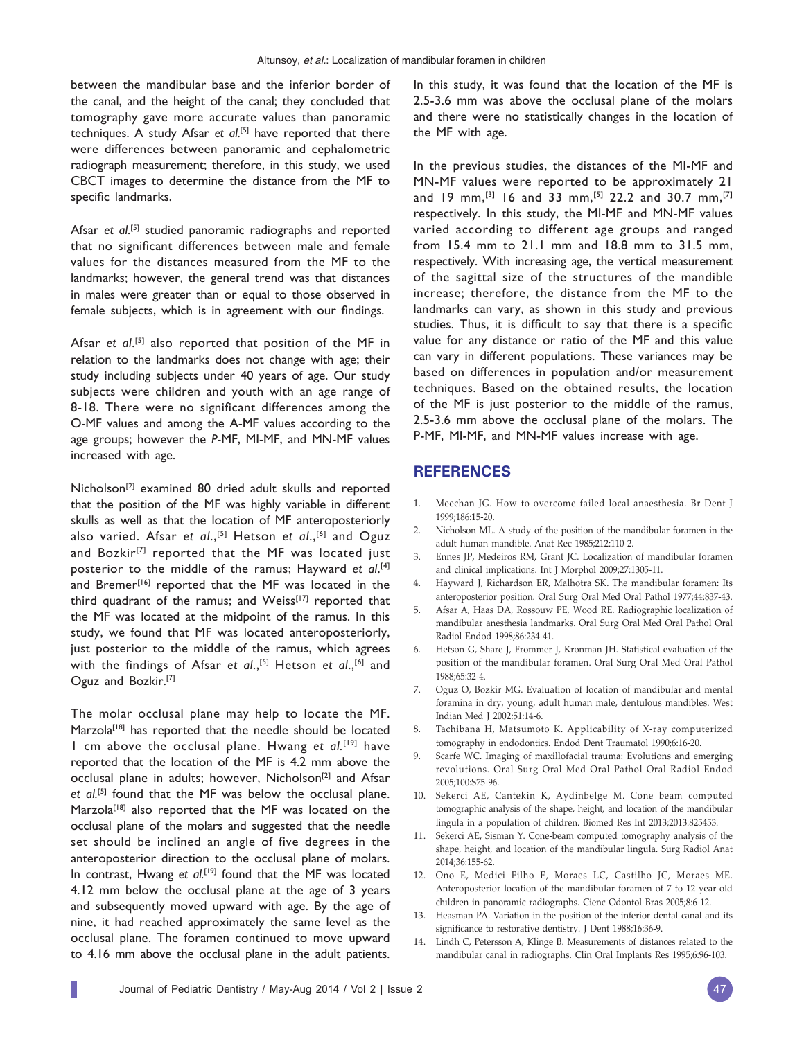between the mandibular base and the inferior border of the canal, and the height of the canal; they concluded that tomography gave more accurate values than panoramic techniques. A study Afsar *et al*. [5] have reported that there were differences between panoramic and cephalometric radiograph measurement; therefore, in this study, we used CBCT images to determine the distance from the MF to specific landmarks.

Afsar et al.<sup>[5]</sup> studied panoramic radiographs and reported that no significant differences between male and female values for the distances measured from the MF to the landmarks; however, the general trend was that distances in males were greater than or equal to those observed in female subjects, which is in agreement with our findings.

Afsar et al.<sup>[5]</sup> also reported that position of the MF in relation to the landmarks does not change with age; their study including subjects under 40 years of age. Our study subjects were children and youth with an age range of 8-18. There were no significant differences among the O-MF values and among the A-MF values according to the age groups; however the *P*-MF, MI-MF, and MN-MF values increased with age.

Nicholson<sup>[2]</sup> examined 80 dried adult skulls and reported that the position of the MF was highly variable in different skulls as well as that the location of MF anteroposteriorly also varied. Afsar *et al.*,<sup>[5]</sup> Hetson *et al.*,<sup>[6]</sup> and Oguz and Bozkir<sup>[7]</sup> reported that the MF was located just posterior to the middle of the ramus; Hayward *et al*. [4] and Bremer<sup>[16]</sup> reported that the MF was located in the third quadrant of the ramus; and Weiss $[17]$  reported that the MF was located at the midpoint of the ramus. In this study, we found that MF was located anteroposteriorly, just posterior to the middle of the ramus, which agrees with the findings of Afsar *et al.*,<sup>[5]</sup> Hetson *et al.*,<sup>[6]</sup> and Oguz and Bozkir.[7]

The molar occlusal plane may help to locate the MF. Marzola<sup>[18]</sup> has reported that the needle should be located 1 cm above the occlusal plane. Hwang *et al.*[19] have reported that the location of the MF is 4.2 mm above the occlusal plane in adults; however, Nicholson<sup>[2]</sup> and Afsar *et al.*[5] found that the MF was below the occlusal plane. Marzola<sup>[18]</sup> also reported that the MF was located on the occlusal plane of the molars and suggested that the needle set should be inclined an angle of five degrees in the anteroposterior direction to the occlusal plane of molars. In contrast, Hwang *et al.*<sup>[19]</sup> found that the MF was located 4.12 mm below the occlusal plane at the age of 3 years and subsequently moved upward with age. By the age of nine, it had reached approximately the same level as the occlusal plane. The foramen continued to move upward to 4.16 mm above the occlusal plane in the adult patients.

In this study, it was found that the location of the MF is 2.5-3.6 mm was above the occlusal plane of the molars and there were no statistically changes in the location of the MF with age.

In the previous studies, the distances of the MI-MF and MN-MF values were reported to be approximately 21 and 19 mm,<sup>[3]</sup> 16 and 33 mm,<sup>[5]</sup> 22.2 and 30.7 mm,<sup>[7]</sup> respectively. In this study, the MI-MF and MN-MF values varied according to different age groups and ranged from 15.4 mm to 21.1 mm and 18.8 mm to 31.5 mm, respectively. With increasing age, the vertical measurement of the sagittal size of the structures of the mandible increase; therefore, the distance from the MF to the landmarks can vary, as shown in this study and previous studies. Thus, it is difficult to say that there is a specific value for any distance or ratio of the MF and this value can vary in different populations. These variances may be based on differences in population and/or measurement techniques. Based on the obtained results, the location of the MF is just posterior to the middle of the ramus, 2.5-3.6 mm above the occlusal plane of the molars. The P-MF, MI-MF, and MN-MF values increase with age.

### **REFERENCES**

- 1. Meechan JG. How to overcome failed local anaesthesia. Br Dent J 1999;186:15-20.
- 2. Nicholson ML. A study of the position of the mandibular foramen in the adult human mandible. Anat Rec 1985;212:110-2.
- 3. Ennes JP, Medeiros RM, Grant JC. Localization of mandibular foramen and clinical implications. Int J Morphol 2009;27:1305-11.
- 4. Hayward J, Richardson ER, Malhotra SK. The mandibular foramen: Its anteroposterior position. Oral Surg Oral Med Oral Pathol 1977;44:837-43.
- 5. A fsar A, Haas DA, Rossouw PE, Wood RE. Radiographic localization of mandibular anesthesia landmarks. Oral Surg Oral Med Oral Pathol Oral Radiol Endod 1998;86:234-41.
- 6. Hetson G, Share J, Frommer J, Kronman JH. Statistical evaluation of the position of the mandibular foramen. Oral Surg Oral Med Oral Pathol 1988;65:32-4.
- 7. Oguz O, Bozkir MG. Evaluation of location of mandibular and mental foramina in dry, young, adult human male, dentulous mandibles. West Indian Med J 2002;51:14-6.
- 8. Tachibana H, Matsumoto K. Applicability of X-ray computerized tomography in endodontics. Endod Dent Traumatol 1990;6:16-20.
- 9. Scarfe WC. Imaging of maxillofacial trauma: Evolutions and emerging revolutions. Oral Surg Oral Med Oral Pathol Oral Radiol Endod 2005;100:S75-96.
- 10. Sekerci AE, Cantekin K, Aydinbelge M. Cone beam computed tomographic analysis of the shape, height, and location of the mandibular lingula in a population of children. Biomed Res Int 2013;2013:825453.
- 11. Sekerci AE, Sisman Y. Cone-beam computed tomography analysis of the shape, height, and location of the mandibular lingula. Surg Radiol Anat 2014;36:155-62.
- 12. Ono E, Medici Filho E, Moraes LC, Castilho JC, Moraes ME. Anteroposterior location of the mandibular foramen of 7 to 12 year-old chıldren in panoramic radiographs. Cienc Odontol Bras 2005;8:6-12.
- 13. Heasman PA. Variation in the position of the inferior dental canal and its significance to restorative dentistry. J Dent 1988;16:36-9.
- 14. Lindh C, Petersson A, Klinge B. Measurements of distances related to the mandibular canal in radiographs. Clin Oral Implants Res 1995;6:96-103.